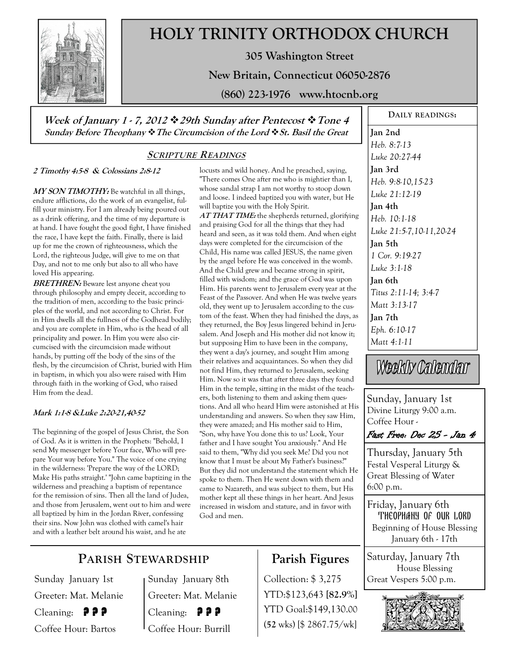

# **HOLY TRINITY ORTHODOX CHURCH**

**305 Washington Street** 

**New Britain, Connecticut 06050-2876** 

**(860) 223-1976 www.htocnb.org** 

**Week of January 1 - 7, 2012 29th Sunday after Pentecost Tone 4 Sunday Before Theophany The Circumcision of the Lord St. Basil the Great** 

### **SCRIPTURE READINGS**

#### **2 Timothy 4:5-8 & Colossians 2:8-12**

**MY SON TIMOTHY:** Be watchful in all things, endure afflictions, do the work of an evangelist, fulfill your ministry. For I am already being poured out as a drink offering, and the time of my departure is at hand. I have fought the good fight, I have finished the race, I have kept the faith. Finally, there is laid up for me the crown of righteousness, which the Lord, the righteous Judge, will give to me on that Day, and not to me only but also to all who have loved His appearing.

**BRETHREN:** Beware lest anyone cheat you through philosophy and empty deceit, according to the tradition of men, according to the basic principles of the world, and not according to Christ. For in Him dwells all the fullness of the Godhead bodily; and you are complete in Him, who is the head of all principality and power. In Him you were also circumcised with the circumcision made without hands, by putting off the body of the sins of the flesh, by the circumcision of Christ, buried with Him in baptism, in which you also were raised with Him through faith in the working of God, who raised Him from the dead.

#### **Mark 1:1-8 &Luke 2:20-21,40-52**

The beginning of the gospel of Jesus Christ, the Son of God. As it is written in the Prophets: "Behold, I send My messenger before Your face, Who will prepare Your way before You." The voice of one crying in the wilderness: 'Prepare the way of the LORD; Make His paths straight.' "John came baptizing in the wilderness and preaching a baptism of repentance for the remission of sins. Then all the land of Judea, and those from Jerusalem, went out to him and were all baptized by him in the Jordan River, confessing their sins. Now John was clothed with camel's hair and with a leather belt around his waist, and he ate

locusts and wild honey. And he preached, saying, "There comes One after me who is mightier than I, whose sandal strap I am not worthy to stoop down and loose. I indeed baptized you with water, but He will baptize you with the Holy Spirit.

**AT THAT TIME:** the shepherds returned, glorifying and praising God for all the things that they had heard and seen, as it was told them. And when eight days were completed for the circumcision of the Child, His name was called JESUS, the name given by the angel before He was conceived in the womb. And the Child grew and became strong in spirit, filled with wisdom; and the grace of God was upon Him. His parents went to Jerusalem every year at the Feast of the Passover. And when He was twelve years old, they went up to Jerusalem according to the custom of the feast. When they had finished the days, as they returned, the Boy Jesus lingered behind in Jerusalem. And Joseph and His mother did not know it; but supposing Him to have been in the company, they went a day's journey, and sought Him among their relatives and acquaintances. So when they did not find Him, they returned to Jerusalem, seeking Him. Now so it was that after three days they found Him in the temple, sitting in the midst of the teachers, both listening to them and asking them questions. And all who heard Him were astonished at His understanding and answers. So when they saw Him, they were amazed; and His mother said to Him, "Son, why have You done this to us? Look, Your father and I have sought You anxiously." And He said to them, "Why did you seek Me? Did you not know that I must be about My Father's business?" But they did not understand the statement which He spoke to them. Then He went down with them and came to Nazareth, and was subject to them, but His mother kept all these things in her heart. And Jesus increased in wisdom and stature, and in favor with God and men.

**Jan 2nd**  *Heb. 8:7-13 Luke 20:27-44*  **Jan 3rd**  *Heb. 9:8-10,15-23 Luke 21:12-19*  **Jan 4th**  *Heb. 10:1-18 Luke 21:5-7,10-11,20-24*  **Jan 5th**  *1 Cor. 9:19-27 Luke 3:1-18*  **Jan 6th**  *Titus 2:11-14; 3:4-7 Matt 3:13-17*  **Jan 7th**  *Eph. 6:10-17 Matt 4:1-11* 

**DAILY READINGS:** 

Weekly Calendar

Sunday, January 1st Divine Liturgy 9:00 a.m. Coffee Hour -



Thursday, January 5th Festal Vesperal Liturgy & Great Blessing of Water 6:00 p.m.

Friday, January 6th Theophany of our lord Beginning of House Blessing January 6th - 17th

Saturday, January 7th House Blessing Great Vespers 5:00 p.m.



# **PARISH STEWARDSHIP**

Sunday January 1st Greeter: Mat. Melanie Cleaning:  $\theta$  ? ? Coffee Hour: Bartos

Sunday January 8th Greeter: Mat. Melanie

Cleaning:  $\theta$  ? ? Coffee Hour: Burrill **Parish Figures** 

Collection: \$ 3,275 YTD:\$123,643 **[82.9%]** YTD Goal:\$149,130.00 (**52** wks) [\$ 2867.75/wk]